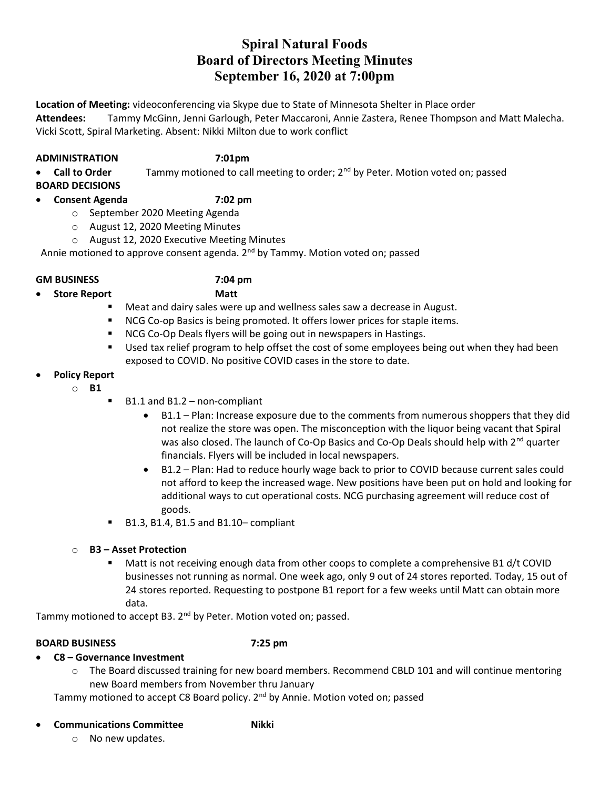# Spiral Natural Foods Board of Directors Meeting Minutes September 16, 2020 at 7:00pm

Location of Meeting: videoconferencing via Skype due to State of Minnesota Shelter in Place order Attendees: Tammy McGinn, Jenni Garlough, Peter Maccaroni, Annie Zastera, Renee Thompson and Matt Malecha. Vicki Scott, Spiral Marketing. Absent: Nikki Milton due to work conflict

### ADMINISTRATION 7:01pm

Call to Order  $\blacksquare$  Tammy motioned to call meeting to order;  $2^{nd}$  by Peter. Motion voted on; passed

BOARD DECISIONS

# Consent Agenda 7:02 pm

- o September 2020 Meeting Agenda
- o August 12, 2020 Meeting Minutes
- o August 12, 2020 Executive Meeting Minutes

Annie motioned to approve consent agenda. 2<sup>nd</sup> by Tammy. Motion voted on; passed

### GM BUSINESS 7:04 pm

- Store Report Matt
- - **Meat and dairy sales were up and wellness sales saw a decrease in August.**
	- **NCG Co-op Basics is being promoted. It offers lower prices for staple items.**
	- **NCG Co-Op Deals flyers will be going out in newspapers in Hastings.**
	- **Used tax relief program to help offset the cost of some employees being out when they had been** exposed to COVID. No positive COVID cases in the store to date.

# Policy Report

- o B1
- B1.1 and B1.2 non-compliant
	- B1.1 Plan: Increase exposure due to the comments from numerous shoppers that they did not realize the store was open. The misconception with the liquor being vacant that Spiral was also closed. The launch of Co-Op Basics and Co-Op Deals should help with  $2^{nd}$  quarter financials. Flyers will be included in local newspapers.
	- B1.2 Plan: Had to reduce hourly wage back to prior to COVID because current sales could not afford to keep the increased wage. New positions have been put on hold and looking for additional ways to cut operational costs. NCG purchasing agreement will reduce cost of goods.
- B1.3, B1.4, B1.5 and B1.10– compliant

# o B3 – Asset Protection

 Matt is not receiving enough data from other coops to complete a comprehensive B1 d/t COVID businesses not running as normal. One week ago, only 9 out of 24 stores reported. Today, 15 out of 24 stores reported. Requesting to postpone B1 report for a few weeks until Matt can obtain more data.

Tammy motioned to accept B3. 2<sup>nd</sup> by Peter. Motion voted on; passed.

# BOARD BUSINESS 7:25 pm

- C8 Governance Investment
	- o The Board discussed training for new board members. Recommend CBLD 101 and will continue mentoring new Board members from November thru January

Tammy motioned to accept C8 Board policy. 2<sup>nd</sup> by Annie. Motion voted on; passed

### Communications Committee **Nikki**

o No new updates.